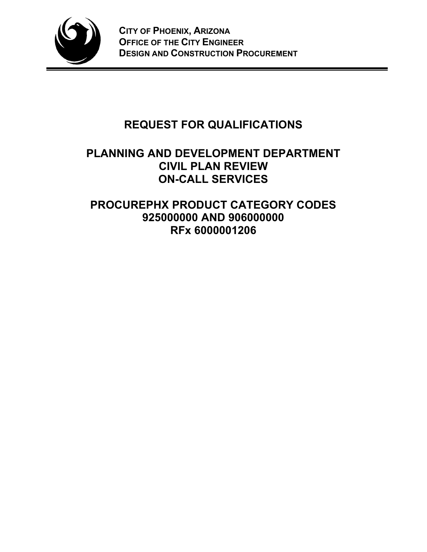

# **REQUEST FOR QUALIFICATIONS**

### **PLANNING AND DEVELOPMENT DEPARTMENT CIVIL PLAN REVIEW ON-CALL SERVICES**

## **PROCUREPHX PRODUCT CATEGORY CODES 925000000 AND 906000000 RFx 6000001206**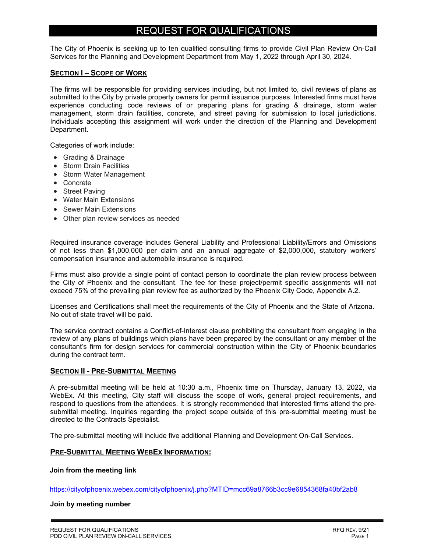### REQUEST FOR QUALIFICATIONS

The City of Phoenix is seeking up to ten qualified consulting firms to provide Civil Plan Review On-Call Services for the Planning and Development Department from May 1, 2022 through April 30, 2024.

#### **SECTION I – SCOPE OF WORK**

The firms will be responsible for providing services including, but not limited to, civil reviews of plans as submitted to the City by private property owners for permit issuance purposes. Interested firms must have experience conducting code reviews of or preparing plans for grading & drainage, storm water management, storm drain facilities, concrete, and street paving for submission to local jurisdictions. Individuals accepting this assignment will work under the direction of the Planning and Development Department.

Categories of work include:

- Grading & Drainage
- Storm Drain Facilities
- Storm Water Management
- Concrete
- Street Paving
- Water Main Extensions
- Sewer Main Extensions
- Other plan review services as needed

Required insurance coverage includes General Liability and Professional Liability/Errors and Omissions of not less than \$1,000,000 per claim and an annual aggregate of \$2,000,000, statutory workers' compensation insurance and automobile insurance is required.

Firms must also provide a single point of contact person to coordinate the plan review process between the City of Phoenix and the consultant. The fee for these project/permit specific assignments will not exceed 75% of the prevailing plan review fee as authorized by the Phoenix City Code, Appendix A.2.

Licenses and Certifications shall meet the requirements of the City of Phoenix and the State of Arizona. No out of state travel will be paid.

The service contract contains a Conflict-of-Interest clause prohibiting the consultant from engaging in the review of any plans of buildings which plans have been prepared by the consultant or any member of the consultant's firm for design services for commercial construction within the City of Phoenix boundaries during the contract term.

#### **SECTION II - PRE-SUBMITTAL MEETING**

A pre-submittal meeting will be held at 10:30 a.m., Phoenix time on Thursday, January 13, 2022, via WebEx. At this meeting, City staff will discuss the scope of work, general project requirements, and respond to questions from the attendees. It is strongly recommended that interested firms attend the presubmittal meeting. Inquiries regarding the project scope outside of this pre-submittal meeting must be directed to the Contracts Specialist.

The pre-submittal meeting will include five additional Planning and Development On-Call Services.

#### **PRE-SUBMITTAL MEETING WEBEX INFORMATION:**

#### **Join from the meeting link**

https://cityofphoenix.webex.com/cityofphoenix/j.php?MTID=mcc69a8766b3cc9e6854368fa40bf2ab8

#### **Join by meeting number**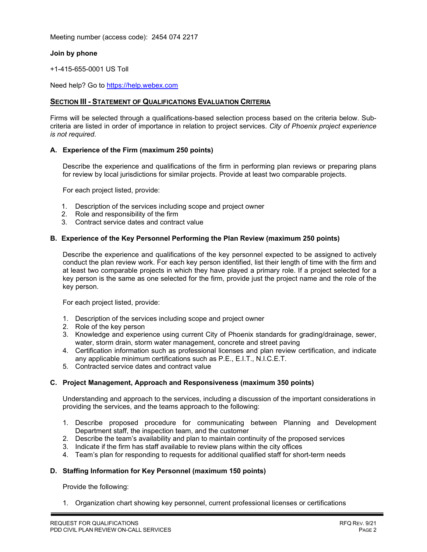Meeting number (access code): 2454 074 2217

#### **Join by phone**

+1-415-655-0001 US Toll

Need help? Go to https://help.webex.com

#### **SECTION III - STATEMENT OF QUALIFICATIONS EVALUATION CRITERIA**

Firms will be selected through a qualifications-based selection process based on the criteria below. Subcriteria are listed in order of importance in relation to project services. *City of Phoenix project experience is not required*.

#### **A. Experience of the Firm (maximum 250 points)**

Describe the experience and qualifications of the firm in performing plan reviews or preparing plans for review by local jurisdictions for similar projects. Provide at least two comparable projects.

For each project listed, provide:

- 1. Description of the services including scope and project owner
- 2. Role and responsibility of the firm
- 3. Contract service dates and contract value

#### **B. Experience of the Key Personnel Performing the Plan Review (maximum 250 points)**

Describe the experience and qualifications of the key personnel expected to be assigned to actively conduct the plan review work. For each key person identified, list their length of time with the firm and at least two comparable projects in which they have played a primary role. If a project selected for a key person is the same as one selected for the firm, provide just the project name and the role of the key person.

For each project listed, provide:

- 1. Description of the services including scope and project owner
- 2. Role of the key person
- 3. Knowledge and experience using current City of Phoenix standards for grading/drainage, sewer, water, storm drain, storm water management, concrete and street paving
- 4. Certification information such as professional licenses and plan review certification, and indicate any applicable minimum certifications such as P.E., E.I.T., N.I.C.E.T.
- 5. Contracted service dates and contract value

#### **C. Project Management, Approach and Responsiveness (maximum 350 points)**

Understanding and approach to the services, including a discussion of the important considerations in providing the services, and the teams approach to the following:

- 1. Describe proposed procedure for communicating between Planning and Development Department staff, the inspection team, and the customer
- 2. Describe the team's availability and plan to maintain continuity of the proposed services
- 3. Indicate if the firm has staff available to review plans within the city offices
- 4. Team's plan for responding to requests for additional qualified staff for short-term needs

#### **D. Staffing Information for Key Personnel (maximum 150 points)**

Provide the following:

1. Organization chart showing key personnel, current professional licenses or certifications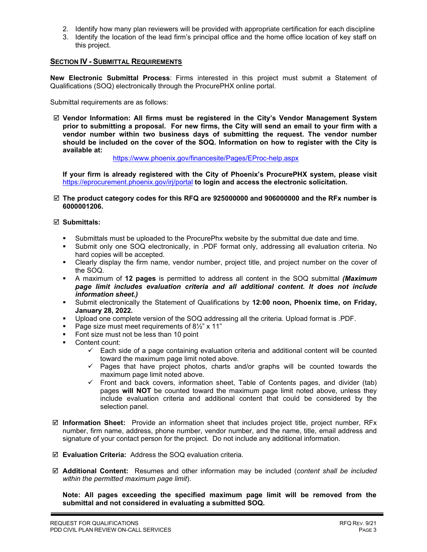- 2. Identify how many plan reviewers will be provided with appropriate certification for each discipline
- 3. Identify the location of the lead firm's principal office and the home office location of key staff on this project.

#### **SECTION IV - SUBMITTAL REQUIREMENTS**

**New Electronic Submittal Process**: Firms interested in this project must submit a Statement of Qualifications (SOQ) electronically through the ProcurePHX online portal.

Submittal requirements are as follows:

 **Vendor Information: All firms must be registered in the City's Vendor Management System prior to submitting a proposal. For new firms, the City will send an email to your firm with a vendor number within two business days of submitting the request. The vendor number should be included on the cover of the SOQ. Information on how to register with the City is available at:** 

<https://www.phoenix.gov/financesite/Pages/EProc-help.aspx>

**If your firm is already registered with the City of Phoenix's ProcurePHX system, please visit**  <https://eprocurement.phoenix.gov/irj/portal> **to login and access the electronic solicitation.**

 **The product category codes for this RFQ are 925000000 and 906000000 and the RFx number is 6000001206.** 

#### **Submittals:**

- Submittals must be uploaded to the ProcurePhx website by the submittal due date and time.
- Submit only one SOQ electronically, in .PDF format only, addressing all evaluation criteria. No hard copies will be accepted.
- Clearly display the firm name, vendor number, project title, and project number on the cover of the SOQ.
- A maximum of **12 pages** is permitted to address all content in the SOQ submittal *(Maximum page limit includes evaluation criteria and all additional content. It does not include information sheet.)*
- Submit electronically the Statement of Qualifications by **12:00 noon, Phoenix time, on Friday, January 28, 2022.**
- Upload one complete version of the SOQ addressing all the criteria. Upload format is .PDF.
- Page size must meet requirements of  $8\frac{1}{2}$ " x 11"
- **Font size must not be less than 10 point**
- Content count:
	- $\checkmark$  Each side of a page containing evaluation criteria and additional content will be counted toward the maximum page limit noted above.
	- $\checkmark$  Pages that have project photos, charts and/or graphs will be counted towards the maximum page limit noted above.
	- $\checkmark$  Front and back covers, information sheet, Table of Contents pages, and divider (tab) pages **will NOT** be counted toward the maximum page limit noted above, unless they include evaluation criteria and additional content that could be considered by the selection panel.
- **Information Sheet:** Provide an information sheet that includes project title, project number, RFx number, firm name, address, phone number, vendor number, and the name, title, email address and signature of your contact person for the project. Do not include any additional information.
- **Evaluation Criteria:** Address the SOQ evaluation criteria.
- **Additional Content:** Resumes and other information may be included (*content shall be included within the permitted maximum page limit*).

**Note: All pages exceeding the specified maximum page limit will be removed from the submittal and not considered in evaluating a submitted SOQ.**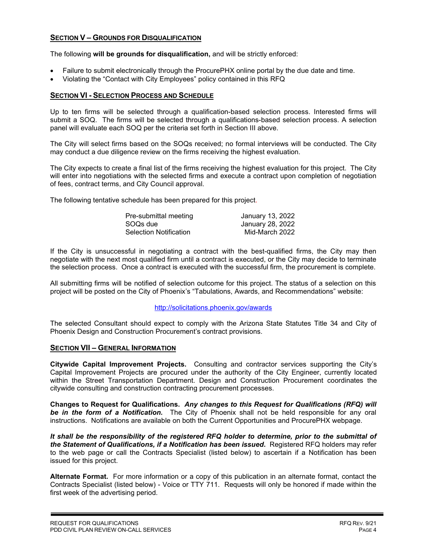#### **SECTION V – GROUNDS FOR DISQUALIFICATION**

The following **will be grounds for disqualification,** and will be strictly enforced:

- Failure to submit electronically through the ProcurePHX online portal by the due date and time.
- Violating the "Contact with City Employees" policy contained in this RFQ

#### **SECTION VI - SELECTION PROCESS AND SCHEDULE**

Up to ten firms will be selected through a qualification-based selection process. Interested firms will submit a SOQ. The firms will be selected through a qualifications-based selection process. A selection panel will evaluate each SOQ per the criteria set forth in Section III above.

The City will select firms based on the SOQs received; no formal interviews will be conducted. The City may conduct a due diligence review on the firms receiving the highest evaluation.

The City expects to create a final list of the firms receiving the highest evaluation for this project. The City will enter into negotiations with the selected firms and execute a contract upon completion of negotiation of fees, contract terms, and City Council approval.

The following tentative schedule has been prepared for this project.

| Pre-submittal meeting         | January 13, 2022 |
|-------------------------------|------------------|
| SOQs due                      | January 28, 2022 |
| <b>Selection Notification</b> | Mid-March 2022   |

If the City is unsuccessful in negotiating a contract with the best-qualified firms, the City may then negotiate with the next most qualified firm until a contract is executed, or the City may decide to terminate the selection process. Once a contract is executed with the successful firm, the procurement is complete.

All submitting firms will be notified of selection outcome for this project. The status of a selection on this project will be posted on the City of Phoenix's "Tabulations, Awards, and Recommendations" website:

#### <http://solicitations.phoenix.gov/awards>

The selected Consultant should expect to comply with the Arizona State Statutes Title 34 and City of Phoenix Design and Construction Procurement's contract provisions.

#### **SECTION VII – GENERAL INFORMATION**

**Citywide Capital Improvement Projects.** Consulting and contractor services supporting the City's Capital Improvement Projects are procured under the authority of the City Engineer, currently located within the Street Transportation Department. Design and Construction Procurement coordinates the citywide consulting and construction contracting procurement processes.

**Changes to Request for Qualifications.** *Any changes to this Request for Qualifications (RFQ) will be in the form of a Notification.* The City of Phoenix shall not be held responsible for any oral instructions. Notifications are available on both the Current Opportunities and ProcurePHX webpage.

*It shall be the responsibility of the registered RFQ holder to determine, prior to the submittal of the Statement of Qualifications, if a Notification has been issued***.** Registered RFQ holders may refer to the web page or call the Contracts Specialist (listed below) to ascertain if a Notification has been issued for this project.

**Alternate Format.** For more information or a copy of this publication in an alternate format, contact the Contracts Specialist (listed below) - Voice or TTY 711. Requests will only be honored if made within the first week of the advertising period.